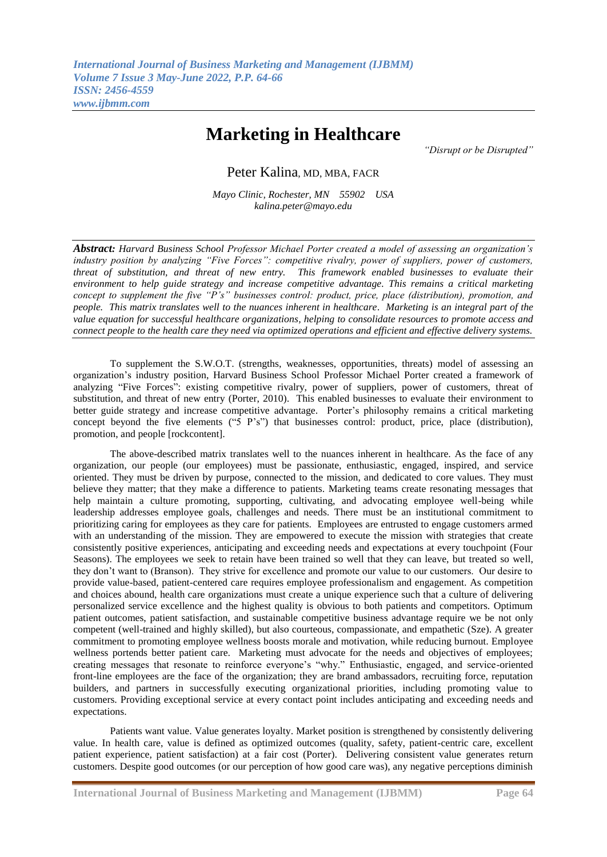## **Marketing in Healthcare**

*"Disrupt or be Disrupted"*

Peter Kalina, MD, MBA, FACR

*Mayo Clinic, Rochester, MN 55902 USA kalina.peter@mayo.edu*

*Abstract: Harvard Business School Professor Michael Porter created a model of assessing an organization's industry position by analyzing "Five Forces": competitive rivalry, power of suppliers, power of customers, threat of substitution, and threat of new entry. This framework enabled businesses to evaluate their environment to help guide strategy and increase competitive advantage. This remains a critical marketing concept to supplement the five "P's" businesses control: product, price, place (distribution), promotion, and people. This matrix translates well to the nuances inherent in healthcare. Marketing is an integral part of the value equation for successful healthcare organizations, helping to consolidate resources to promote access and connect people to the health care they need via optimized operations and efficient and effective delivery systems.* 

 To supplement the S.W.O.T. (strengths, weaknesses, opportunities, threats) model of assessing an organization's industry position, Harvard Business School Professor Michael Porter created a framework of analyzing "Five Forces": existing competitive rivalry, power of suppliers, power of customers, threat of substitution, and threat of new entry (Porter, 2010). This enabled businesses to evaluate their environment to better guide strategy and increase competitive advantage. Porter's philosophy remains a critical marketing concept beyond the five elements ("5 P's") that businesses control: product, price, place (distribution), promotion, and people [rockcontent].

 The above-described matrix translates well to the nuances inherent in healthcare. As the face of any organization, our people (our employees) must be passionate, enthusiastic, engaged, inspired, and service oriented. They must be driven by purpose, connected to the mission, and dedicated to core values. They must believe they matter; that they make a difference to patients. Marketing teams create resonating messages that help maintain a culture promoting, supporting, cultivating, and advocating employee well-being while leadership addresses employee goals, challenges and needs. There must be an institutional commitment to prioritizing caring for employees as they care for patients. Employees are entrusted to engage customers armed with an understanding of the mission. They are empowered to execute the mission with strategies that create consistently positive experiences, anticipating and exceeding needs and expectations at every touchpoint (Four Seasons). The employees we seek to retain have been trained so well that they can leave, but treated so well, they don't want to (Branson). They strive for excellence and promote our value to our customers. Our desire to provide value-based, patient-centered care requires employee professionalism and engagement. As competition and choices abound, health care organizations must create a unique experience such that a culture of delivering personalized service excellence and the highest quality is obvious to both patients and competitors. Optimum patient outcomes, patient satisfaction, and sustainable competitive business advantage require we be not only competent (well-trained and highly skilled), but also courteous, compassionate, and empathetic (Sze). A greater commitment to promoting employee wellness boosts morale and motivation, while reducing burnout. Employee wellness portends better patient care. Marketing must advocate for the needs and objectives of employees; creating messages that resonate to reinforce everyone's "why." Enthusiastic, engaged, and service-oriented front-line employees are the face of the organization; they are brand ambassadors, recruiting force, reputation builders, and partners in successfully executing organizational priorities, including promoting value to customers. Providing exceptional service at every contact point includes anticipating and exceeding needs and expectations.

 Patients want value. Value generates loyalty. Market position is strengthened by consistently delivering value. In health care, value is defined as optimized outcomes (quality, safety, patient-centric care, excellent patient experience, patient satisfaction) at a fair cost (Porter). Delivering consistent value generates return customers. Despite good outcomes (or our perception of how good care was), any negative perceptions diminish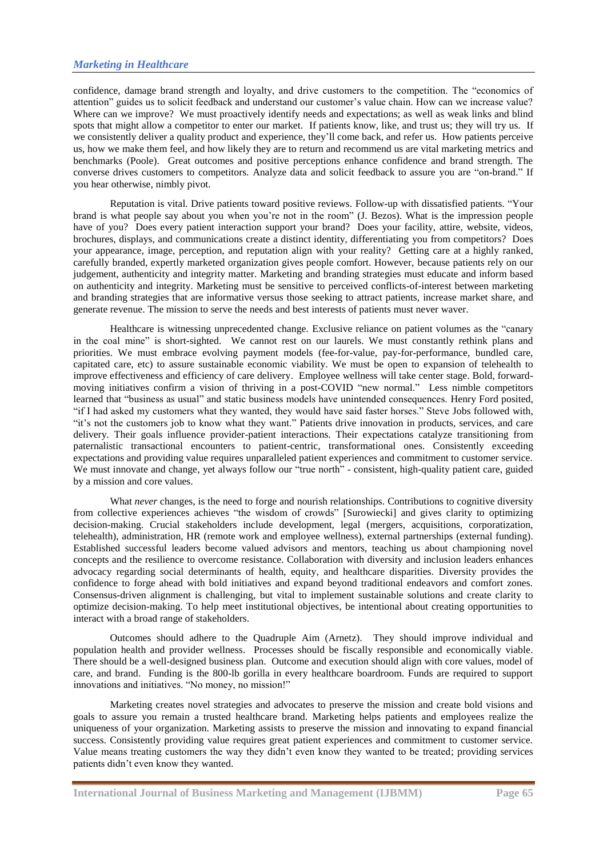## *Marketing in Healthcare*

confidence, damage brand strength and loyalty, and drive customers to the competition. The "economics of attention" guides us to solicit feedback and understand our customer's value chain. How can we increase value? Where can we improve? We must proactively identify needs and expectations; as well as weak links and blind spots that might allow a competitor to enter our market. If patients know, like, and trust us; they will try us. If we consistently deliver a quality product and experience, they'll come back, and refer us. How patients perceive us, how we make them feel, and how likely they are to return and recommend us are vital marketing metrics and benchmarks (Poole). Great outcomes and positive perceptions enhance confidence and brand strength. The converse drives customers to competitors. Analyze data and solicit feedback to assure you are "on-brand." If you hear otherwise, nimbly pivot.

 Reputation is vital. Drive patients toward positive reviews. Follow-up with dissatisfied patients. "Your brand is what people say about you when you're not in the room" (J. Bezos). What is the impression people have of you? Does every patient interaction support your brand? Does your facility, attire, website, videos, brochures, displays, and communications create a distinct identity, differentiating you from competitors? Does your appearance, image, perception, and reputation align with your reality? Getting care at a highly ranked, carefully branded, expertly marketed organization gives people comfort. However, because patients rely on our judgement, authenticity and integrity matter. Marketing and branding strategies must educate and inform based on authenticity and integrity. Marketing must be sensitive to perceived conflicts-of-interest between marketing and branding strategies that are informative versus those seeking to attract patients, increase market share, and generate revenue. The mission to serve the needs and best interests of patients must never waver.

 Healthcare is witnessing unprecedented change. Exclusive reliance on patient volumes as the "canary in the coal mine" is short-sighted. We cannot rest on our laurels. We must constantly rethink plans and priorities. We must embrace evolving payment models (fee-for-value, pay-for-performance, bundled care, capitated care, etc) to assure sustainable economic viability. We must be open to expansion of telehealth to improve effectiveness and efficiency of care delivery. Employee wellness will take center stage. Bold, forwardmoving initiatives confirm a vision of thriving in a post-COVID "new normal." Less nimble competitors learned that "business as usual" and static business models have unintended consequences. Henry Ford posited, "if I had asked my customers what they wanted, they would have said faster horses." Steve Jobs followed with, "it's not the customers job to know what they want." Patients drive innovation in products, services, and care delivery. Their goals influence provider-patient interactions. Their expectations catalyze transitioning from paternalistic transactional encounters to patient-centric, transformational ones. Consistently exceeding expectations and providing value requires unparalleled patient experiences and commitment to customer service. We must innovate and change, yet always follow our "true north" - consistent, high-quality patient care, guided by a mission and core values.

What *never* changes, is the need to forge and nourish relationships. Contributions to cognitive diversity from collective experiences achieves "the wisdom of crowds" [Surowiecki] and gives clarity to optimizing decision-making. Crucial stakeholders include development, legal (mergers, acquisitions, corporatization, telehealth), administration, HR (remote work and employee wellness), external partnerships (external funding). Established successful leaders become valued advisors and mentors, teaching us about championing novel concepts and the resilience to overcome resistance. Collaboration with diversity and inclusion leaders enhances advocacy regarding social determinants of health, equity, and healthcare disparities. Diversity provides the confidence to forge ahead with bold initiatives and expand beyond traditional endeavors and comfort zones. Consensus-driven alignment is challenging, but vital to implement sustainable solutions and create clarity to optimize decision-making. To help meet institutional objectives, be intentional about creating opportunities to interact with a broad range of stakeholders.

 Outcomes should adhere to the Quadruple Aim (Arnetz). They should improve individual and population health and provider wellness. Processes should be fiscally responsible and economically viable. There should be a well-designed business plan. Outcome and execution should align with core values, model of care, and brand. Funding is the 800-lb gorilla in every healthcare boardroom. Funds are required to support innovations and initiatives. "No money, no mission!"

 Marketing creates novel strategies and advocates to preserve the mission and create bold visions and goals to assure you remain a trusted healthcare brand. Marketing helps patients and employees realize the uniqueness of your organization. Marketing assists to preserve the mission and innovating to expand financial success. Consistently providing value requires great patient experiences and commitment to customer service. Value means treating customers the way they didn't even know they wanted to be treated; providing services patients didn't even know they wanted.